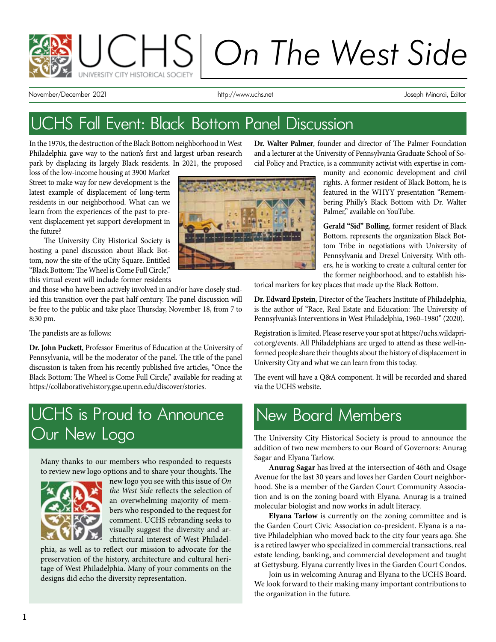

November/December 2021 http://www.uchs.net Joseph Minardi, Editor

# UCHS Fall Event: Black Bottom Panel Discussion

In the 1970s, the destruction of the Black Bottom neighborhood in West Philadelphia gave way to the nation's first and largest urban research park by displacing its largely Black residents. In 2021, the proposed

loss of the low-income housing at 3900 Market Street to make way for new development is the latest example of displacement of long-term residents in our neighborhood. What can we learn from the experiences of the past to prevent displacement yet support development in the future?

The University City Historical Society is hosting a panel discussion about Black Bottom, now the site of the uCity Square. Entitled "Black Bottom: The Wheel is Come Full Circle," this virtual event will include former residents

and those who have been actively involved in and/or have closely studied this transition over the past half century. The panel discussion will be free to the public and take place Thursday, November 18, from 7 to 8:30 pm.

The panelists are as follows:

**Dr. John Puckett**, Professor Emeritus of Education at the University of Pennsylvania, will be the moderator of the panel. The title of the panel discussion is taken from his recently published five articles, "Once the Black Bottom: The Wheel is Come Full Circle," available for reading at https://collaborativehistory.gse.upenn.edu/discover/stories.

# UCHS is Proud to Announce Our New Logo

Many thanks to our members who responded to requests to review new logo options and to share your thoughts. The



new logo you see with this issue of *On the West Side* reflects the selection of an overwhelming majority of members who responded to the request for comment. UCHS rebranding seeks to visually suggest the diversity and architectural interest of West Philadel-

phia, as well as to reflect our mission to advocate for the preservation of the history, architecture and cultural heritage of West Philadelphia. Many of your comments on the designs did echo the diversity representation.



**Dr. Walter Palmer**, founder and director of The Palmer Foundation and a lecturer at the University of Pennsylvania Graduate School of Social Policy and Practice, is a community activist with expertise in com-

> munity and economic development and civil rights. A former resident of Black Bottom, he is featured in the WHYY presentation "Remembering Philly's Black Bottom with Dr. Walter Palmer," available on YouTube.

> **Gerald "Sid" Bolling**, former resident of Black Bottom, represents the organization Black Bottom Tribe in negotiations with University of Pennsylvania and Drexel University. With others, he is working to create a cultural center for the former neighborhood, and to establish his-

torical markers for key places that made up the Black Bottom.

**Dr. Edward Epstein**, Director of the Teachers Institute of Philadelphia, is the author of "Race, Real Estate and Education: The University of Pennsylvania's Interventions in West Philadelphia, 1960–1980" (2020).

Registration is limited. Please reserve your spot at https://uchs.wildapricot.org/events. All Philadelphians are urged to attend as these well-informed people share their thoughts about the history of displacement in University City and what we can learn from this today.

The event will have a Q&A component. It will be recorded and shared via the UCHS website.

## New Board Members

The University City Historical Society is proud to announce the addition of two new members to our Board of Governors: Anurag Sagar and Elyana Tarlow.

**Anurag Sagar** has lived at the intersection of 46th and Osage Avenue for the last 30 years and loves her Garden Court neighborhood. She is a member of the Garden Court Community Association and is on the zoning board with Elyana. Anurag is a trained molecular biologist and now works in adult literacy.

**Elyana Tarlow** is currently on the zoning committee and is the Garden Court Civic Association co-president. Elyana is a native Philadelphian who moved back to the city four years ago. She is a retired lawyer who specialized in commercial transactions, real estate lending, banking, and commercial development and taught at Gettysburg. Elyana currently lives in the Garden Court Condos.

Join us in welcoming Anurag and Elyana to the UCHS Board. We look forward to their making many important contributions to the organization in the future.

i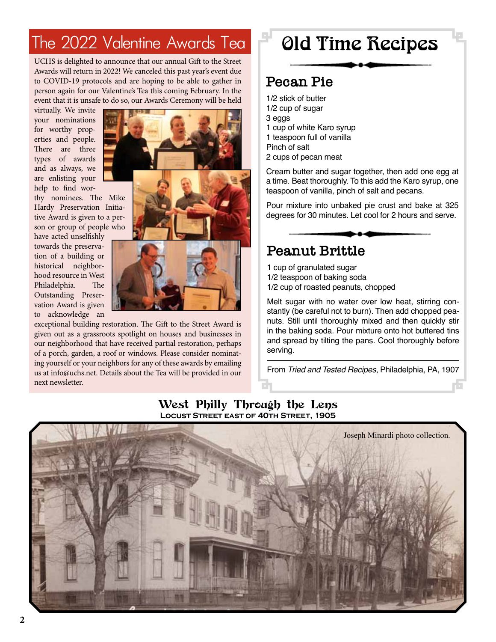# The 2022 Valentine Awards Tea

 UCHS is delighted to announce that our annual Gift to the Street Awards will return in 2022! We canceled this past year's event due to COVID-19 protocols and are hoping to be able to gather in person again for our Valentine's Tea this coming February. In the event that it is unsafe to do so, our Awards Ceremony will be held

virtually. We invite your nominations for worthy properties and people. There are three types of awards and as always, we are enlisting your help to find wor-

thy nominees. The Mike Hardy Preservation Initiative Award is given to a person or group of people who

have acted unselfishly towards the preservation of a building or historical neighborhood resource in West Philadelphia. The Outstanding Preservation Award is given to acknowledge an



exceptional building restoration. The Gift to the Street Award is given out as a grassroots spotlight on houses and businesses in our neighborhood that have received partial restoration, perhaps of a porch, garden, a roof or windows. Please consider nominating yourself or your neighbors for any of these awards by emailing us at info@uchs.net. Details about the Tea will be provided in our next newsletter.

# Old Time Recipes

### **Pecan Pie**

- 1/2 stick of butter
- 1/2 cup of sugar 3 eggs 1 cup of white Karo syrup
- 1 teaspoon full of vanilla
- Pinch of salt
- 2 cups of pecan meat

Cream butter and sugar together, then add one egg at a time. Beat thoroughly. To this add the Karo syrup, one teaspoon of vanilla, pinch of salt and pecans.

Pour mixture into unbaked pie crust and bake at 325 degrees for 30 minutes. Let cool for 2 hours and serve.

## **Peanut Brittle**

- 1 cup of granulated sugar
- 1/2 teaspoon of baking soda
- 1/2 cup of roasted peanuts, chopped

Melt sugar with no water over low heat, stirring constantly (be careful not to burn). Then add chopped peanuts. Still until thoroughly mixed and then quickly stir in the baking soda. Pour mixture onto hot buttered tins and spread by tilting the pans. Cool thoroughly before serving.

From *Tried and Tested Recipes*, Philadelphia, PA, 1907

#### West Philly Through the Lens **Locust Street east of 40th Street, 1905**

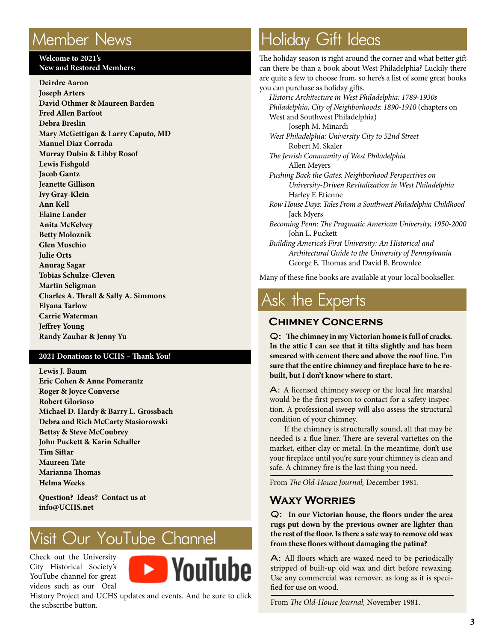# Member News

#### **Welcome to 2021's New and Restored Members:**

**Deirdre Aaron Joseph Arters David Othmer & Maureen Barden Fred Allen Barfoot Debra Breslin Mary McGettigan & Larry Caputo, MD Manuel Diaz Corrada Murray Dubin & Libby Rosof Lewis Fishgold Jacob Gantz Jeanette Gillison Ivy Gray-Klein Ann Kell Elaine Lander Anita McKelvey Betty Moloznik Glen Muschio Julie Orts Anurag Sagar Tobias Schulze-Cleven Martin Seligman Charles A. Thrall & Sally A. Simmons Elyana Tarlow Carrie Waterman Jeffrey Young Randy Zauhar & Jenny Yu**

#### **2021 Donations to UCHS – Thank You!**

**Lewis J. Baum Eric Cohen & Anne Pomerantz Roger & Joyce Converse Robert Glorioso Michael D. Hardy & Barry L. Grossbach Debra and Rich McCarty Stasiorowski Bettsy & Steve McCoubrey John Puckett & Karin Schaller Tim Siftar Maureen Tate Marianna Thomas Helma Weeks**

**Question? Ideas? Contact us at info@UCHS.net**

# Visit Our YouTube Channel

Check out the University City Historical Society's YouTube channel for great videos such as our Oral



History Project and UCHS updates and events. And be sure to click the subscribe button.

# Holiday Gift Ideas

The holiday season is right around the corner and what better gift can there be than a book about West Philadelphia? Luckily there are quite a few to choose from, so here's a list of some great books you can purchase as holiday gifts.

*Historic Architecture in West Philadelphia: 1789-1930s Philadelphia, City of Neighborhoods: 1890-1910* (chapters on West and Southwest Philadelphia) Joseph M. Minardi *West Philadelphia: University City to 52nd Street* Robert M. Skaler *The Jewish Community of West Philadelphia* Allen Meyers *Pushing Back the Gates: Neighborhood Perspectives on University-Driven Revitalization in West Philadelphia*  **Harley F. Etienne** *Row House Days: Tales From a Southwest Philadelphia Childhood*  Jack Myers *Becoming Penn: The Pragmatic American University, 1950-2000* John L. Puckett *Building America's First University: An Historical and Architectural Guide to the University of Pennsylvania* George E. Thomas and David B. Brownlee

Many of these fine books are available at your local bookseller.

# Ask the Experts

#### **Chimney Concerns**

Q: **The chimney in my Victorian home is full of cracks. In the attic I can see that it tilts slightly and has been smeared with cement there and above the roof line. I'm sure that the entire chimney and fireplace have to be rebuilt, but I don't know where to start.**

A: A licensed chimney sweep or the local fire marshal would be the first person to contact for a safety inspection. A professional sweep will also assess the structural condition of your chimney.

If the chimney is structurally sound, all that may be needed is a flue liner. There are several varieties on the market, either clay or metal. In the meantime, don't use your fireplace until you're sure your chimney is clean and safe. A chimney fire is the last thing you need.

From *The Old-House Journal,* December 1981.

#### **Waxy Worries**

Q: **In our Victorian house, the floors under the area rugs put down by the previous owner are lighter than the rest of the floor. Is there a safe way to remove old wax from these floors without damaging the patina?**

A: All floors which are waxed need to be periodically stripped of built-up old wax and dirt before rewaxing. Use any commercial wax remover, as long as it is specified for use on wood.

From *The Old-House Journal,* November 1981.